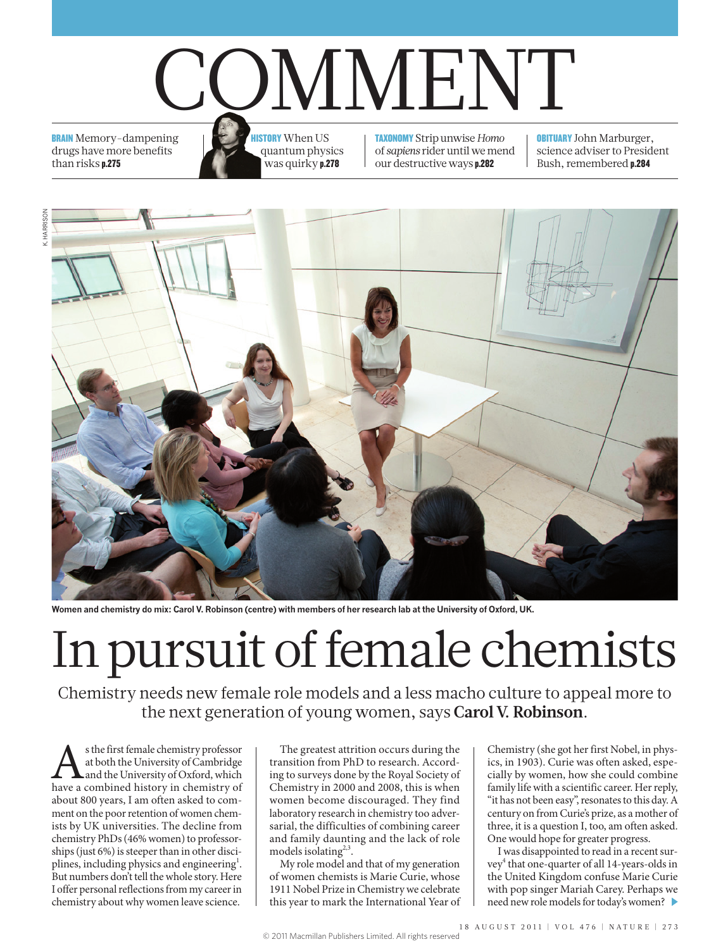# COMMENT

BRAIN Memory-dampening drugs have more benefits than risks p.275

**HISTORY** When US quantum physics was quirky p.278

TAXONOMY Strip unwise *Homo* of *sapiens* rider until we mend our destructive ways p.282

**OBITUARY** John Marburger, science adviser to President Bush, remembered p.284



**Women and chemistry do mix: Carol V. Robinson (centre) with members of her research lab at the University of Oxford, UK.**

## In pursuit of female chemists

Chemistry needs new female role models and a less macho culture to appeal more to the next generation of young women, says **Carol V. Robinson**.

As the first female chemistry professor<br>at both the University of Cambridge<br>have a combined history in chemistry of at both the University of Cambridge and the University of Oxford, which about 800 years, I am often asked to comment on the poor retention of women chemists by UK universities. The decline from chemistry PhDs (46% women) to professorships (just 6%) is steeper than in other disciplines, including physics and engineering<sup>1</sup>. But numbers don't tell the whole story. Here I offer personal reflections from my career in chemistry about why women leave science.

The greatest attrition occurs during the transition from PhD to research. According to surveys done by the Royal Society of Chemistry in 2000 and 2008, this is when women become discouraged. They find laboratory research in chemistry too adversarial, the difficulties of combining career and family daunting and the lack of role models isolating $2,3$ .

My role model and that of my generation of women chemists is Marie Curie, whose 1911 Nobel Prize in Chemistry we celebrate this year to mark the International Year of Chemistry (she got her first Nobel, in physics, in 1903). Curie was often asked, especially by women, how she could combine family life with a scientific career. Her reply, "it has not been easy", resonates to this day. A century on from Curie's prize, as a mother of three, it is a question I, too, am often asked. One would hope for greater progress.

I was disappointed to read in a recent survey<sup>4</sup> that one-quarter of all 14-years-olds in the United Kingdom confuse Marie Curie with pop singer Mariah Carey. Perhaps we need new role models for today's women?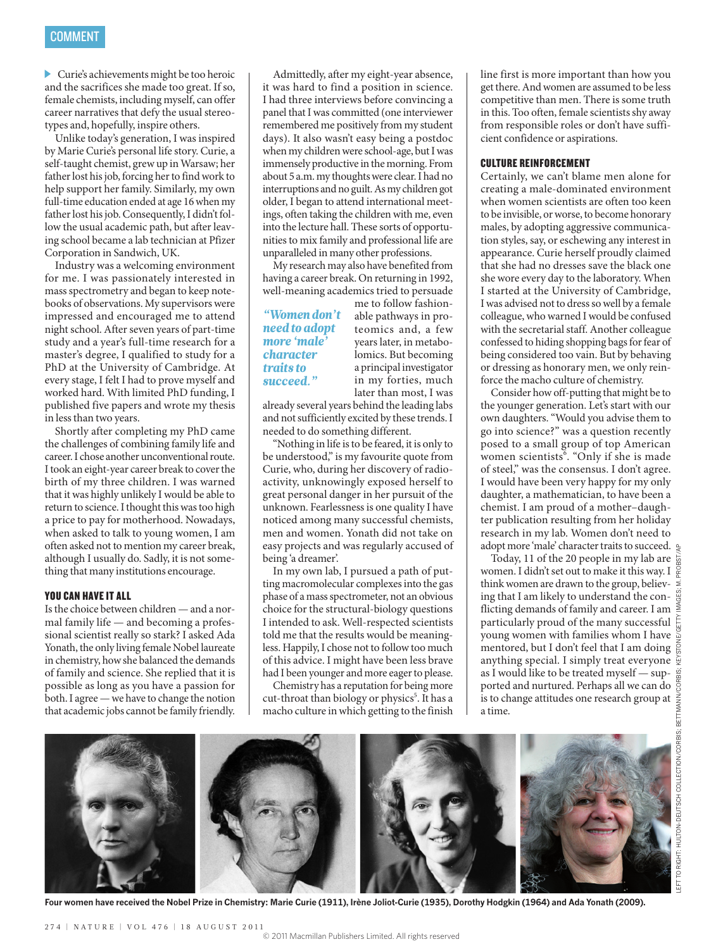Curie's achievements might be too heroic and the sacrifices she made too great. If so, female chemists, including myself, can offer career narratives that defy the usual stereotypes and, hopefully, inspire others.

Unlike today's generation, I was inspired by Marie Curie's personal life story. Curie, a self-taught chemist, grew up in Warsaw; her father lost his job, forcing her to find work to help support her family. Similarly, my own full-time education ended at age 16 when my father lost his job. Consequently, I didn't follow the usual academic path, but after leaving school became a lab technician at Pfizer Corporation in Sandwich, UK.

Industry was a welcoming environment for me. I was passionately interested in mass spectrometry and began to keep notebooks of observations. My supervisors were impressed and encouraged me to attend night school. After seven years of part-time study and a year's full-time research for a master's degree, I qualified to study for a PhD at the University of Cambridge. At every stage, I felt I had to prove myself and worked hard. With limited PhD funding, I published five papers and wrote my thesis in less than two years.

Shortly after completing my PhD came the challenges of combining family life and career. I chose another unconventional route. I took an eight-year career break to cover the birth of my three children. I was warned that it was highly unlikely I would be able to return to science. I thought this was too high a price to pay for motherhood. Nowadays, when asked to talk to young women, I am often asked not to mention my career break, although I usually do. Sadly, it is not something that many institutions encourage.

#### YOU CAN HAVE IT ALL

Is the choice between children — and a normal family life — and becoming a professional scientist really so stark? I asked Ada Yonath, the only living female Nobel laureate in chemistry, how she balanced the demands of family and science. She replied that it is possible as long as you have a passion for both. I agree — we have to change the notion that academic jobs cannot be family friendly.

Admittedly, after my eight-year absence, it was hard to find a position in science. I had three interviews before convincing a panel that I was committed (one interviewer remembered me positively from my student days). It also wasn't easy being a postdoc when my children were school-age, but I was immensely productive in the morning. From about 5 a.m. my thoughts were clear. I had no interruptions and no guilt. As my children got older, I began to attend international meetings, often taking the children with me, even into the lecture hall. These sorts of opportunities to mix family and professional life are unparalleled in many other professions.

My research may also have benefited from having a career break. On returning in 1992, well-meaning academics tried to persuade

#### *"Women don't need to adopt more 'male' character traits to succeed."*

me to follow fashionable pathways in proteomics and, a few years later, in metabolomics. But becoming a principal investigator in my forties, much later than most, I was

already several years behind the leading labs and not sufficiently excited by these trends. I needed to do something different.

"Nothing in life is to be feared, it is only to be understood," is my favourite quote from Curie, who, during her discovery of radioactivity, unknowingly exposed herself to great personal danger in her pursuit of the unknown. Fearlessness is one quality I have noticed among many successful chemists, men and women. Yonath did not take on easy projects and was regularly accused of being 'a dreamer'.

In my own lab, I pursued a path of putting macromolecular complexes into the gas phase of a mass spectrometer, not an obvious choice for the structural-biology questions I intended to ask. Well-respected scientists told me that the results would be meaningless. Happily, I chose not to follow too much of this advice. I might have been less brave had I been younger and more eager to please.

Chemistry has a reputation for being more cut-throat than biology or physics<sup>5</sup>. It has a macho culture in which getting to the finish line first is more important than how you get there. And women are assumed to be less competitive than men. There is some truth in this. Too often, female scientists shy away from responsible roles or don't have sufficient confidence or aspirations.

#### CULTURE REINFORCEMENT

Certainly, we can't blame men alone for creating a male-dominated environment when women scientists are often too keen to be invisible, or worse, to become honorary males, by adopting aggressive communication styles, say, or eschewing any interest in appearance. Curie herself proudly claimed that she had no dresses save the black one she wore every day to the laboratory. When I started at the University of Cambridge, I was advised not to dress so well by a female colleague, who warned I would be confused with the secretarial staff. Another colleague confessed to hiding shopping bags for fear of being considered too vain. But by behaving or dressing as honorary men, we only reinforce the macho culture of chemistry.

Consider how off-putting that might be to the younger generation. Let's start with our own daughters. "Would you advise them to go into science?" was a question recently posed to a small group of top American women scientists<sup>6</sup>. "Only if she is made of steel," was the consensus. I don't agree. I would have been very happy for my only daughter, a mathematician, to have been a chemist. I am proud of a mother–daughter publication resulting from her holiday research in my lab. Women don't need to adopt more 'male' character traits to succeed.

Today, 11 of the 20 people in my lab are women. I didn't set out to make it this way. I think women are drawn to the group, believing that I am likely to understand the conflicting demands of family and career. I am  $\geq$ particularly proud of the many successful  $\epsilon$ young women with families whom I have  $\frac{6}{9}$ mentored, but I don't feel that I am doing anything special. I simply treat everyone as I would like to be treated myself — supported and nurtured. Perhaps all we can do is to change attitudes one research group at a time.





**Four women have received the Nobel Prize in Chemistry: Marie Curie (1911), Irène Joliot-Curie (1935), Dorothy Hodgkin (1964) and Ada Yonath (2009).**